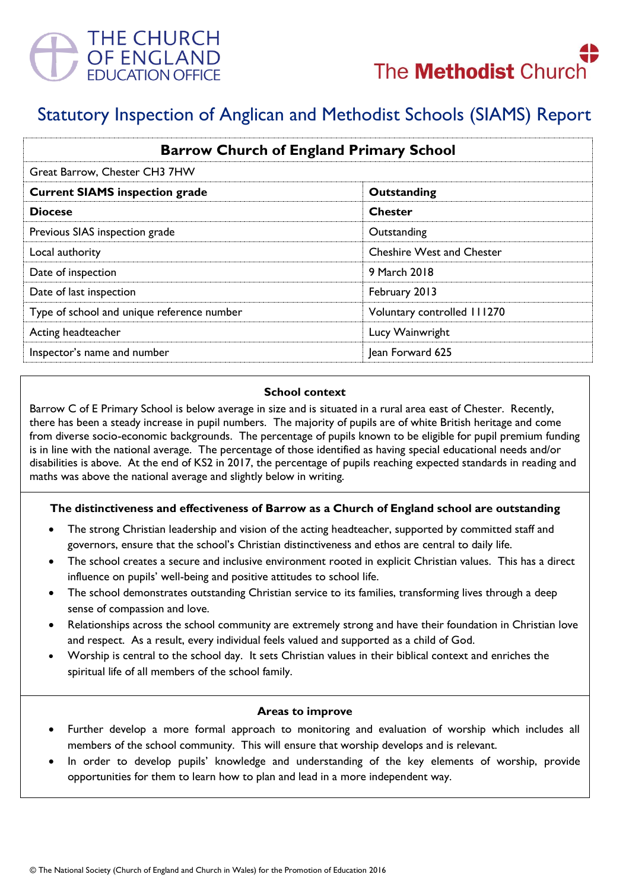



# Statutory Inspection of Anglican and Methodist Schools (SIAMS) Report

| <b>Barrow Church of England Primary School</b><br>Great Barrow, Chester CH3 7HW |                                  |
|---------------------------------------------------------------------------------|----------------------------------|
|                                                                                 |                                  |
| <b>Diocese</b>                                                                  | <b>Chester</b>                   |
| Previous SIAS inspection grade                                                  | Outstanding                      |
| Local authority                                                                 | <b>Cheshire West and Chester</b> |
| Date of inspection                                                              | 9 March 2018                     |
| Date of last inspection                                                         | February 2013                    |
| Type of school and unique reference number                                      | Voluntary controlled 111270      |
| Acting headteacher                                                              | Lucy Wainwright                  |
| Inspector's name and number                                                     | Jean Forward 625                 |

#### **School context**

Barrow C of E Primary School is below average in size and is situated in a rural area east of Chester. Recently, there has been a steady increase in pupil numbers. The majority of pupils are of white British heritage and come from diverse socio-economic backgrounds. The percentage of pupils known to be eligible for pupil premium funding is in line with the national average. The percentage of those identified as having special educational needs and/or disabilities is above. At the end of KS2 in 2017, the percentage of pupils reaching expected standards in reading and maths was above the national average and slightly below in writing.

### **The distinctiveness and effectiveness of Barrow as a Church of England school are outstanding**

- The strong Christian leadership and vision of the acting headteacher, supported by committed staff and governors, ensure that the school's Christian distinctiveness and ethos are central to daily life.
- The school creates a secure and inclusive environment rooted in explicit Christian values. This has a direct influence on pupils' well-being and positive attitudes to school life.
- The school demonstrates outstanding Christian service to its families, transforming lives through a deep sense of compassion and love.
- Relationships across the school community are extremely strong and have their foundation in Christian love and respect. As a result, every individual feels valued and supported as a child of God.
- Worship is central to the school day. It sets Christian values in their biblical context and enriches the spiritual life of all members of the school family.

#### **Areas to improve**

- Further develop a more formal approach to monitoring and evaluation of worship which includes all members of the school community. This will ensure that worship develops and is relevant.
- In order to develop pupils' knowledge and understanding of the key elements of worship, provide opportunities for them to learn how to plan and lead in a more independent way.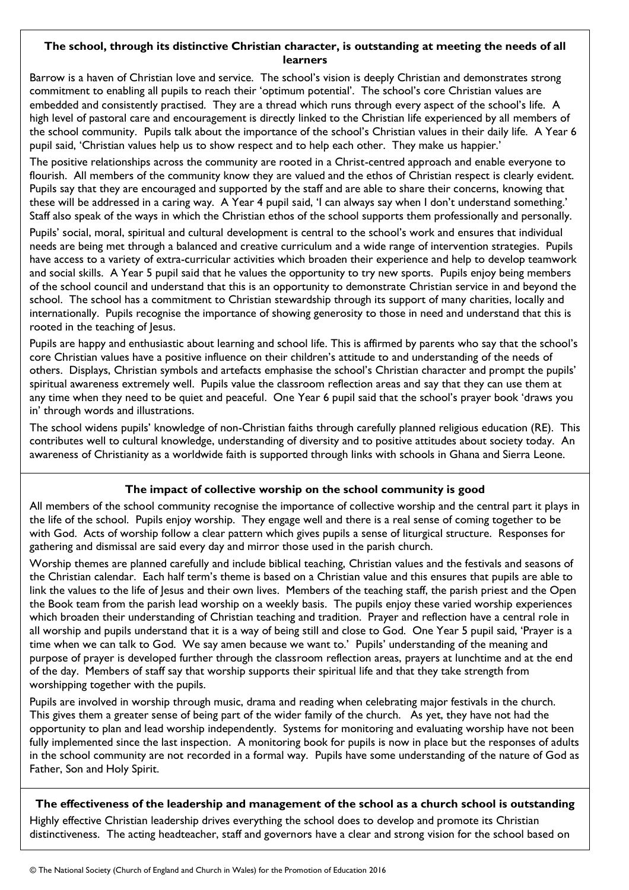## **The school, through its distinctive Christian character, is outstanding at meeting the needs of all learners**

Barrow is a haven of Christian love and service. The school's vision is deeply Christian and demonstrates strong commitment to enabling all pupils to reach their 'optimum potential'. The school's core Christian values are embedded and consistently practised. They are a thread which runs through every aspect of the school's life. A high level of pastoral care and encouragement is directly linked to the Christian life experienced by all members of the school community. Pupils talk about the importance of the school's Christian values in their daily life. A Year 6 pupil said, 'Christian values help us to show respect and to help each other. They make us happier.'

The positive relationships across the community are rooted in a Christ-centred approach and enable everyone to flourish. All members of the community know they are valued and the ethos of Christian respect is clearly evident. Pupils say that they are encouraged and supported by the staff and are able to share their concerns, knowing that these will be addressed in a caring way. A Year 4 pupil said, 'I can always say when I don't understand something.' Staff also speak of the ways in which the Christian ethos of the school supports them professionally and personally.

Pupils' social, moral, spiritual and cultural development is central to the school's work and ensures that individual needs are being met through a balanced and creative curriculum and a wide range of intervention strategies. Pupils have access to a variety of extra-curricular activities which broaden their experience and help to develop teamwork and social skills. A Year 5 pupil said that he values the opportunity to try new sports. Pupils enjoy being members of the school council and understand that this is an opportunity to demonstrate Christian service in and beyond the school. The school has a commitment to Christian stewardship through its support of many charities, locally and internationally. Pupils recognise the importance of showing generosity to those in need and understand that this is rooted in the teaching of Jesus.

Pupils are happy and enthusiastic about learning and school life. This is affirmed by parents who say that the school's core Christian values have a positive influence on their children's attitude to and understanding of the needs of others. Displays, Christian symbols and artefacts emphasise the school's Christian character and prompt the pupils' spiritual awareness extremely well. Pupils value the classroom reflection areas and say that they can use them at any time when they need to be quiet and peaceful. One Year 6 pupil said that the school's prayer book 'draws you in' through words and illustrations.

The school widens pupils' knowledge of non-Christian faiths through carefully planned religious education (RE). This contributes well to cultural knowledge, understanding of diversity and to positive attitudes about society today. An awareness of Christianity as a worldwide faith is supported through links with schools in Ghana and Sierra Leone.

## **The impact of collective worship on the school community is good**

All members of the school community recognise the importance of collective worship and the central part it plays in the life of the school. Pupils enjoy worship. They engage well and there is a real sense of coming together to be with God. Acts of worship follow a clear pattern which gives pupils a sense of liturgical structure. Responses for gathering and dismissal are said every day and mirror those used in the parish church.

Worship themes are planned carefully and include biblical teaching, Christian values and the festivals and seasons of the Christian calendar. Each half term's theme is based on a Christian value and this ensures that pupils are able to link the values to the life of Jesus and their own lives. Members of the teaching staff, the parish priest and the Open the Book team from the parish lead worship on a weekly basis. The pupils enjoy these varied worship experiences which broaden their understanding of Christian teaching and tradition. Prayer and reflection have a central role in all worship and pupils understand that it is a way of being still and close to God. One Year 5 pupil said, 'Prayer is a time when we can talk to God. We say amen because we want to.' Pupils' understanding of the meaning and purpose of prayer is developed further through the classroom reflection areas, prayers at lunchtime and at the end of the day. Members of staff say that worship supports their spiritual life and that they take strength from worshipping together with the pupils.

Pupils are involved in worship through music, drama and reading when celebrating major festivals in the church. This gives them a greater sense of being part of the wider family of the church. As yet, they have not had the opportunity to plan and lead worship independently. Systems for monitoring and evaluating worship have not been fully implemented since the last inspection. A monitoring book for pupils is now in place but the responses of adults in the school community are not recorded in a formal way. Pupils have some understanding of the nature of God as Father, Son and Holy Spirit.

## **The effectiveness of the leadership and management of the school as a church school is outstanding**

Highly effective Christian leadership drives everything the school does to develop and promote its Christian distinctiveness. The acting headteacher, staff and governors have a clear and strong vision for the school based on